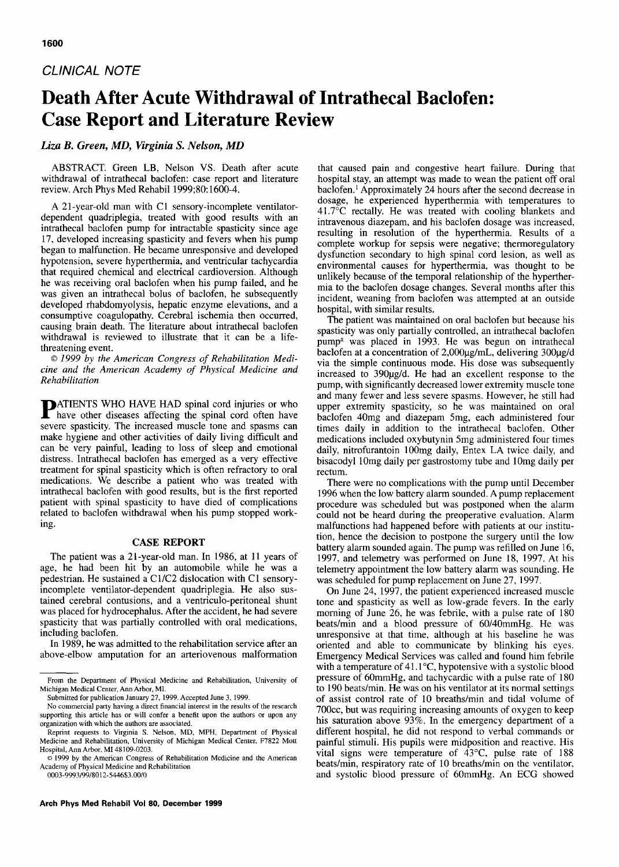## *CLINICAL NOTE*

# **Death After Acute Withdrawal of Intrathecal Baclofen: Case Report and Literature Review**

## *Liza B. Green, MD, Virginia S. Nelson, MD*

ABSTRACT. Green LB, Nelson VS. Death after acute withdrawal of intrathecal baclofen: case report and literature review. Arch Phys Med Rehabil 1999;80:1600-4.

A 21-year-old man with C1 sensory-incomplete ventilatordependent quadriplegia, treated with good results with an intrathecal baclofen pump for intractable spasticity since age 17, developed increasing spasticity and fevers when his pump began to malfunction. He became unresponsive and developed hypotension, severe hyperthermia, and ventricular tachycardia that required chemical and electrical cardioversion. Although he was receiving oral baclofen when his pump failed, and he was given an intrathecal bolus of baclofen, he subsequently developed rhabdomyolysis, hepatic enzyme elevations, and a consumptive coagulopathy. Cerebral ischemia then occurred, causing brain death. The literature about intrathecal baclofen withdrawal is reviewed to illustrate that it can be a lifethreatening event.

*© 1999 by the American Congress of Rehabilitation Medicine and the American Academy of Physical Medicine and Rehabilitation* 

**P**ATIENTS WHO HAVE HAD spinal cord injuries or who have other diseases affecting the spinal cord often have severe spasticity. The increased muscle tone and spasms can make hygiene and other activities of daily living difficult and can be very painful, leading to loss of sleep and emotional distress. Intrathecal baclofen has emerged as a very effective treatment for spinal spasticity which is often refractory to oral medications. We describe a patient who was treated with intrathecal baclofen with good results, but is the first reported patient with spinal spasticity to have died of complications related to baclofen withdrawal when his pump stopped working.

#### **CASE REPORT**

The patient was a 21-year-old man. In 1986, at 11 years of age, he had been hit by an automobile while he was a pedestrian. He sustained a C1/C2 dislocation with C1 sensoryincomplete ventilator-dependent quadriplegia. He also sustained cerebral contusions, and a ventriculo-peritoneal shunt was placed for hydrocephalus. After the accident, he had severe spasticity that was partially controlled with oral medications, including baclofen.

In 1989, he was admitted to the rehabilitation service after an above-elbow amputation for an arteriovenous malformation

0003-9993/99/8012-544653.00/0

that caused pain and congestive heart failure. During that hospital stay, an attempt was made to wean the patient off oral baclofen.<sup>1</sup> Approximately 24 hours after the second decrease in dosage, he experienced hyperthermia with temperatures to 41.7°C rectally. He was treated with cooling blankets and intravenous diazepam, and his baclofen dosage was increased, resulting in resolution of the hyperthermia. Results of a complete workup for sepsis were negative; thermoregulatory dysfunction secondary to high spinal cord lesion, as well as environmental causes for hyperthermia, was thought to be unlikely because of the temporal relationship of the hyperthermia to the baclofen dosage changes. Several months after this incident, weaning from baclofen was attempted at an outside hospital, with similar results.

The patient was maintained on oral baclofen but because his spasticity was only partially controlled, an intrathecal baclofen pump<sup>a</sup> was placed in 1993. He was begun on intrathecal baclofen at a concentration of  $2,000\mu g/mL$ , delivering 300 $\mu g/d$ via the simple continuous mode. His dose was subsequently increased to 390µg/d. He had an excellent response to the pump, with significantly decreased lower extremity muscle tone and many fewer and less severe spasms. However, he still had upper extremity spasticity, so he was maintained on oral baclofen 40mg and diazepam 5mg, each administered four times daily in addition to the intrathecal baclofen. Other medications included oxybutynin 5mg administered four times daily, nitrofurantoin 100mg daily, Entex LA twice daily, and bisacodyl 10mg daily per gastrostomy tube and 10mg daily per rectum.

There were no complications with the pump until December 1996 when the low battery alarm sounded. A pump replacement procedure was scheduled but was postponed when the alarm could not be heard during the preoperative evaluation. Alarm malfunctions had happened before with patients at our institution, hence the decision to postpone the surgery until the low battery alarm sounded again. The pump was refilled on June 16, 1997, and telemetry was performed on June 18, 1997. At his telemetry appointment the low battery alarm was sounding. He was scheduled for pump replacement on June 27, 1997.

On June 24, 1997, the patient experienced increased muscle tone and spasticity as well as low-grade fevers. In the early morning of June 26, he was febrile, with a pulse rate of 180 beats/min and a blood pressure of 60/40mmHg. He was unresponsive at that time, although at his baseline he was oriented and able to communicate by blinking his eyes. Emergency Medical Services was called and found him febrile with a temperature of  $41.1^{\circ}$ C, hypotensive with a systolic blood pressure of 60mmHg, and tachycardic with a pulse rate of 180 to 190 beats/min. He was on his ventilator at its normal settings of assist control rate of 10 breaths/min and tidal volume of 700cc, but was requiring increasing amounts of oxygen to keep his saturation above 93%. In the emergency department of a different hospital, he did not respond to verbal commands or painful stimuli. His pupils were midposition and reactive. His vital signs were temperature of  $43^{\circ}$ C, pulse rate of 188 beats/min, respiratory rate of 10 breaths/min on the ventilator, and systolic blood pressure of 60mmHg. An ECG showed

From the Department of Physical Medicine and Rehabilitation, University of Michigan Medical Center, Ann Arbor, MI.

Submitted for publication January 27, 1999. Accepted June 3, 1999.

No commercial party having a direct financial interest in the results of the research supporting this article has or will confer a benefit upon the authors or upon any organization with which the authors are associated.

Reprint requests to Virginia S. Nelson, MD, MPH, Department of Physical Medicine and Rehabilitation, University of Michigan Medical Center, F7822 Mutt Hospital, Ann Arbor, M148109-0203.

<sup>© 1999</sup> by the American Congress of Rehabilitation Medicine and the American Academy of Physical Medicine and Rehabilitation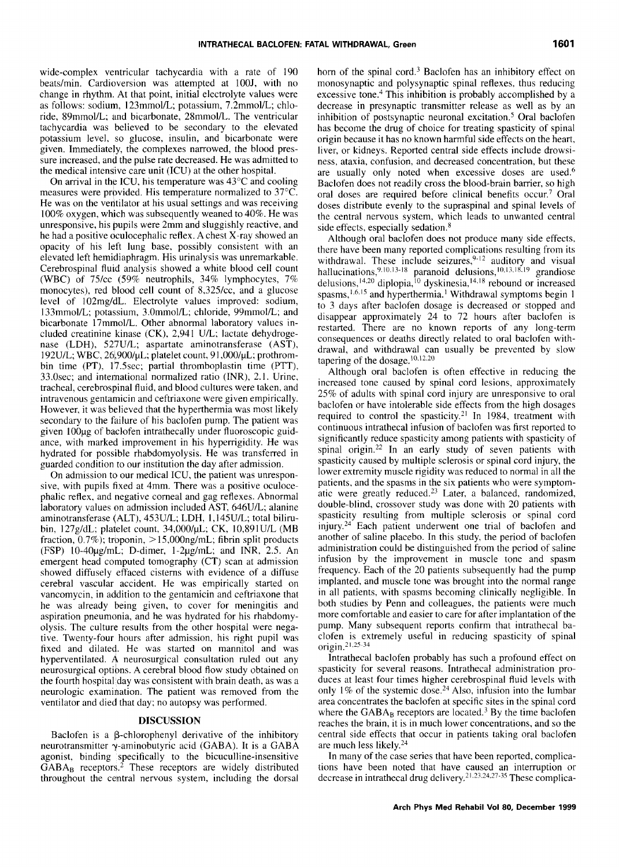wide-complex ventricular tachycardia with a rate of 190 beats/min. Cardioversion was attempted at 100J, with no change in rhythm. At that point, initial electrolyte values were as follows: sodium, 123mmol/L; potassium, 7.2mmol/L; chloride, 89mmol/L; and bicarbonate, 28mmol/L. The ventricular tachycardia was believed to be secondary to the elevated potassium level, so glucose, insulin, and bicarbonate were given. Immediately, the complexes narrowed, the blood pressure increased, and the pulse rate decreased. He was admitted to the medical intensive care unit (ICU) at the other hospital.

On arrival in the ICU, his temperature was 43°C and cooling measures were provided. His temperature normalized to 37°C. He was on the ventilator at his usual settings and was receiving 100% oxygen, which was subsequently weaned to 40%. He was unresponsive, his pupils were 2mm and sluggishly reactive, and he had a positive oculocephalic reflex. A chest X-ray showed an opacity of his left lung base, possibly consistent with an elevated left hemidiaphragm. His urinalysis was unremarkable. Cerebrospinal fluid analysis showed a white blood cell count (WBC) of 75/cc (59% neutrophils, 34% lymphocytes, 7% monocytes), red blood cell count of 8,325/cc, and a glucose level of 102mg/dL. Electrolyte values improved: sodium, 133mmol/L; potassium, 3.0mmol/L; chloride, 99mmol/L; and bicarbonate 17mmol/L. Other abnormal laboratory values included creatinine kinase (CK), 2,941 U/L; lactate dehydrogenase (LDH), 527U/L; aspartate aminotransferase (AST), 192U/L; WBC, 26,900/µL; platelet count, 91,000/µL; prothrombin time (PT), 17.5sec; partial thromboplastin time (PTT), 33.0sec; and international normalized ratio (INR), 2.1. Urine, tracheal, cerebrospinal fluid, and blood cultures were taken, and intravenous gentamicin and ceftriaxone were given empirically. However, it was believed that the hyperthermia was most likely secondary to the failure of his baclofen pump. The patient was given 100µg of baclofen intrathecally under fluoroscopic guidance, with marked improvement in his hyperrigidity. He was hydrated for possible rhabdomyolysis. He was transferred in guarded condition to our institution the day after admission.

On admission to our medical ICU, the patient was unresponsive, with pupils fixed at 4mm. There was a positive oculocephalic reflex, and negative corneal and gag reflexes. Abnormal laboratory values on admission included AST. 646U/L; alanine aminotransferase (ALT), 453U/L; LDH, 1,145U/L; total bilirubin,  $127g/dL$ ; platelet count,  $34,000/\mu L$ ; CK,  $10,891U/L$  (MB fraction,  $0.7\%$ ); troponin,  $> 15,000$ ng/mL; fibrin split products (FSP) 10-40pg/mL; D-dimer, 1-2pg/mL; and INR, 2.5. An emergent head computed tomography (CT) scan at admission showed diffusely effaced cisterns with evidence of a diffuse cerebral vascular accident. He was empirically started on vancomycin, in addition to the gentamicin and ceftriaxone that he was already being given, to cover for meningitis and aspiration pneumonia, and he was hydrated for his rhabdomyolysis. The culture results from the other hospital were negative. Twenty-four hours after admission, his right pupil was fixed and dilated. He was started on mannitol and was hyperventilated. A neurosurgical consultation ruled out any neurosurgical options. A cerebral blood flow study obtained on the fourth hospital day was consistent with brain death, as was a neurologic examination. The patient was removed from the ventilator and died that day; no autopsy was performed.

#### DISCUSSION

Baclofen is a  $\beta$ -chlorophenyl derivative of the inhibitory neurotransmitter  $\gamma$ -aminobutyric acid (GABA). It is a GABA agonist, binding specifically to the bicuculline-insensitive  $GABA_B$  receptors.<sup>2</sup> These receptors are widely distributed throughout the central nervous system, including the dorsal

horn of the spinal cord.<sup>3</sup> Baclofen has an inhibitory effect on monosynaptic and polysynaptic spinal reflexes, thus reducing excessive tone.<sup>4</sup> This inhibition is probably accomplished by a decrease in presynaptic transmitter release as well as by an inhibition of postsynaptic neuronal excitation.<sup>5</sup> Oral baclofen has become the drug of choice for treating spasticity of spinal origin because it has no known harmful side effects on the heart, liver, or kidneys. Reported central side effects include drowsiness, ataxia, confusion, and decreased concentration, but these are usually only noted when excessive doses are used.<sup>6</sup> Baclofen does not readily cross the blood-brain barrier, so high oral doses are required before clinical benefits occur.<sup>7</sup> Oral doses distribute evenly to the supraspinal and spinal levels of the central nervous system, which leads to unwanted central side effects, especially sedation. 8

Although oral baclofen does not produce many side effects, there have been many reported complications resulting from its withdrawal. These include seizures, <sup>9-12</sup> auditory and visual hallucinations,  $9,10,13-18$  paranoid delusions,  $10,13,18,19$  grandiose *delusions, 14,2°* diplopia, 1° dyskinesia, 14,ts rebound or increased spasms, <sup>1,6.15</sup> and hyperthermia.<sup>1</sup> Withdrawal symptoms begin 1 to 3 days after baclofen dosage is decreased or stopped and disappear approximately 24 to 72 hours after baclofen is restarted. There are no known reports of any long-term consequences or deaths directly related to oral baclofen withdrawal, and withdrawal can usually be prevented by slow tapering of the dosage.<sup>10,12,20</sup>

Although oral baclofen is often effective in reducing the increased tone caused by spinal cord lesions, approximately 25% of adults with spinal cord injury are unresponsive to oral baclofen or have intolerable side effects from the high dosages required to control the spasticity.<sup>21</sup> In 1984, treatment with continuous intrathecal infusion of baclofen was first reported to significantly reduce spasticity among patients with spasticity of spinal origin. 22 In an early study of seven patients with spasticity caused by multiple sclerosis or spinal cord injury, the lower extremity muscle rigidity was reduced to normal in all the patients, and the spasms in the six patients who were symptomatic were greatly reduced.<sup>23</sup> Later, a balanced, randomized, double-blind, crossover study was done with 20 patients with spasticity resulting from multiple sclerosis or spinal cord injury. 24 Each patient underwent one trial of baclofen and another of saline placebo. In this study, the period of baclofen administration could be distinguished from the period of saline infusion by the improvement in muscle tone and spasm frequency. Each of the 20 patients subsequently had the pump implanted, and muscle tone was brought into the normal range in all patients, with spasms becoming clinically negligible. In both studies by Penn and colleagues, the patients were much more comfortable and easier to care for after implantation of the pump. Many subsequent reports confirm that intrathecal baclofen is extremely useful in reducing spasticity of spinal *origin.2~.25* 34

Intrathecal baclofen probably has such a profound effect on spasticity for several reasons. Intrathecal administration produces at least four times higher cerebrospinal fluid levels with only  $1\%$  of the systemic dose.<sup>24</sup> Also, infusion into the lumbar area concentrates the baclofen at specific sites in the spinal cord where the  $GABA_B$  receptors are located.<sup>3</sup> By the time baclofen reaches the brain, it is in much lower concentrations, and so the central side effects that occur in patients taking oral baclofen are much less likely. 24

In many of the case series that have been reported, complications have been noted that have caused an interruption or decrease in intrathecal drug delivery.<sup>21,23,24,27-35</sup> These complica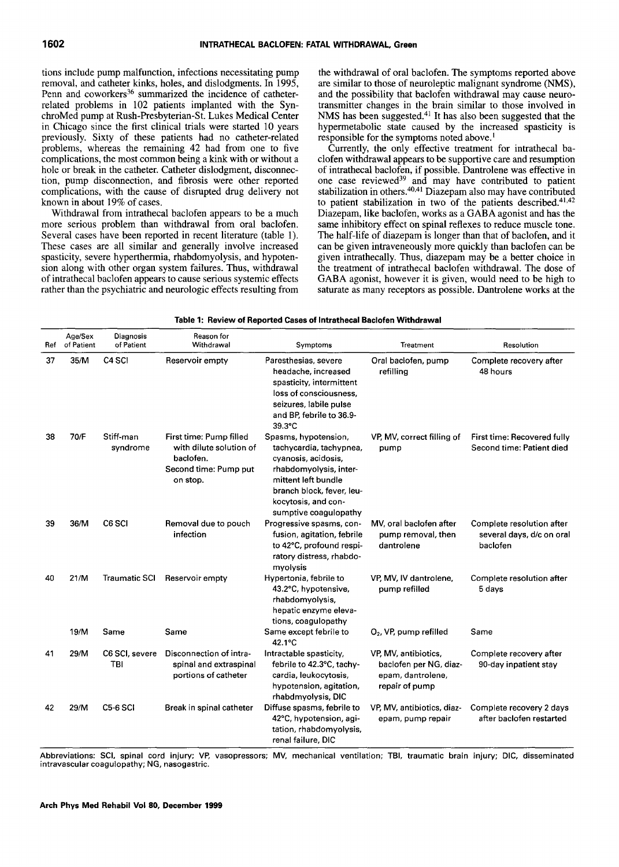tions include pump malfunction, infections necessitating pump removal, and catheter kinks, holes, and dislodgments. In 1995, Penn and coworkers<sup>36</sup> summarized the incidence of catheterrelated problems in 102 patients implanted with the SynchroMed pump at Rush-Presbyterian-St. Lukes Medical Center in Chicago since the first clinical trials were started 10 years previously. Sixty of these patients had no catheter-related problems, whereas the remaining 42 had from one to five complications, the most common being a kink with or without a hole or break in the catheter. Catheter dislodgment, disconnection, pump disconnection, and fibrosis were other reported complications, with the cause of disrupted drug delivery not known in about 19% of cases.

Withdrawal from intrathecal baclofen appears to be a much more serious problem than withdrawal from oral baclofen. Several cases have been reported in recent literature (table 1). These cases are all similar and generally involve increased spasticity, severe hyperthermia, rhabdomyolysis, and hypotension along with other organ system failures. Thus, withdrawal of intrathecal baclofen appears to cause serious systemic effects rather than the psychiatric and neurologic effects resulting from

the withdrawal of oral baclofen. The symptoms reported above are similar to those of neuroleptic malignant syndrome (NMS), and the possibility that baclofen withdrawal may cause neurotransmitter changes in the brain similar to those involved in NMS has been suggested.<sup>41</sup> It has also been suggested that the hypermetabolic state caused by the increased spasticity is responsible for the symptoms noted above.'

Currently, the only effective treatment for intrathecal baclofen withdrawal appears to be supportive care and resumption of intrathecal baclofen, if possible. Dantrolene was effective in one case reviewed<sup>39</sup> and may have contributed to patient stabilization in others.<sup>40,41</sup> Diazepam also may have contributed to patient stabilization in two of the patients described.<sup>41,42</sup> Diazepam, like baclofen, works as a GABA agonist and has the same inhibitory effect on spinal reflexes to reduce muscle tone. The half-life of diazepam is longer than that of baclofen, and it can be given intraveneously more quickly than baclofen can be given intrathecally. Thus, diazepam may be a better choice in the treatment of intrathecal baclofen withdrawal. The dose of GABA agonist, however it is given, would need to be high to saturate as many receptors as possible. Dantrolene works at the

| Ref | Age/Sex<br>of Patient | Diagnosis<br>of Patient | Reason for<br>Withdrawal                                                                             | Symptoms                                                                                                                                                                                             | Treatment                                                                             | Resolution                                                         |
|-----|-----------------------|-------------------------|------------------------------------------------------------------------------------------------------|------------------------------------------------------------------------------------------------------------------------------------------------------------------------------------------------------|---------------------------------------------------------------------------------------|--------------------------------------------------------------------|
| 37  | 35/M                  | C <sub>4</sub> SCI      | Reservoir empty                                                                                      | Paresthesias, severe<br>headache, increased<br>spasticity, intermittent<br>loss of consciousness,<br>seizures, labile pulse<br>and BP, febrile to 36.9-<br>39.3°C                                    | Oral baclofen, pump<br>refilling                                                      | Complete recovery after<br>48 hours                                |
| 38  | 70/F                  | Stift-man<br>syndrome   | First time: Pump filled<br>with dilute solution of<br>baclofen.<br>Second time: Pump put<br>on stop. | Spasms, hypotension,<br>tachycardia, tachypnea,<br>cyanosis, acidosis,<br>rhabdomyolysis, inter-<br>mittent left bundle<br>branch block, fever, leu-<br>kocytosis, and con-<br>sumptive coagulopathy | VP, MV, correct filling of<br>pump                                                    | First time: Recovered fully<br>Second time: Patient died           |
| 39  | 36/M                  | C6 SCI                  | Removal due to pouch<br>infection                                                                    | Progressive spasms, con-<br>fusion, agitation, febrile<br>to 42°C, profound respi-<br>ratory distress, rhabdo-<br>myolysis                                                                           | MV, oral baclofen after<br>pump removal, then<br>dantrolene                           | Complete resolution after<br>several days, d/c on oral<br>baclofen |
| 40  | 21/M                  | <b>Traumatic SCI</b>    | Reservoir empty                                                                                      | Hypertonia, febrile to<br>43.2°C, hypotensive,<br>rhabdomyolysis,<br>hepatic enzyme eleva-<br>tions, coagulopathy                                                                                    | VP, MV, IV dantrolene,<br>pump refilled                                               | Complete resolution after<br>5 days                                |
|     | 19/M                  | Same                    | Same                                                                                                 | Same except febrile to<br>42.1°C                                                                                                                                                                     | O <sub>2</sub> , VP, pump refilled                                                    | Same                                                               |
| 41  | 29/M                  | C6 SCI, severe<br>TBI   | Disconnection of intra-<br>spinal and extraspinal<br>portions of catheter                            | Intractable spasticity,<br>febrile to 42.3°C, tachy-<br>cardia, leukocytosis,<br>hypotension, agitation,<br>rhabdmyolysis, DIC                                                                       | VP, MV, antibiotics,<br>baclofen per NG, diaz-<br>epam, dantrolene,<br>repair of pump | Complete recovery after<br>90-day inpatient stay                   |
| 42  | 29/M                  | <b>C5-6 SCI</b>         | Break in spinal catheter                                                                             | Diffuse spasms, febrile to<br>42°C, hypotension, agi-<br>tation, rhabdomyolysis,<br>renal failure. DIC.                                                                                              | VP, MV, antibiotics, diaz-<br>epam, pump repair                                       | Complete recovery 2 days<br>after baclofen restarted               |

| Table 1: Review of Reported Cases of Intrathecal Baclofen Withdrawal |
|----------------------------------------------------------------------|
|----------------------------------------------------------------------|

Abbreviations: SCI, spinal cord injury; VP, vasopressors; MV, mechanical ventilation; TBI, traumatic brain injury; DIC, disseminated intravascular coagulopathy; NG, nasogastric.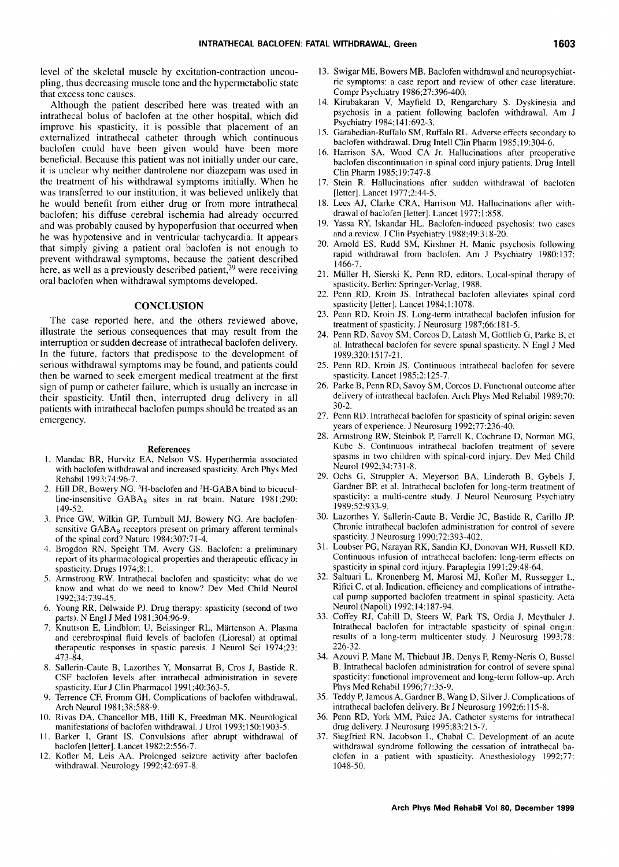level of the skeletal muscle by excitation-contraction uncoupling, thus decreasing muscle tone and the hypermetabolic state that excess tone causes.

Although the patient described here was treated with an intrathecal bolus of baclofen at the other hospital, which did improve his spasticity, it is possible that placement of an externalized intrathecal catheter through which continuous baclofen could have been given would have been more beneficial. Because this patient was not initially under our care, it is unclear why neither dantrolene nor diazepam was used in the treatment of his withdrawal symptoms initially. When he was transferred to our institution, it was believed unlikely that he would benefit from either drug or from more intrathecal baclofen; his diffuse cerebral ischemia had already occurred and was probably caused by hypoperfusion that occurred when he was hypotensive and in ventricular tachycardia. It appears that simply giving a patient oral baclofen is not enough to prevent withdrawal symptoms, because the patient described here, as well as a previously described patient,<sup>39</sup> were receiving oral baclofen when withdrawal symptoms developed.

#### **CONCLUSION**

The case reported here, and the others reviewed above, illustrate the serious consequences that may result from the interruption or sudden decrease of intrathecal baclofen delivery. In the future, factors that predispose to the development of serious withdrawal symptoms may be found, and patients could then be warned to seek emergent medical treatment at the first sign of pump or catheter failure, which is usually an increase in their spasticity. Until then, interrupted drug delivery in all patients with intrathecal baclofen pumps should be treated as an emergency.

#### **References**

- I. Mandac BR, Hurvitz EA, Nelson VS. Hyperthermia associated with baclofen withdrawal and increased spasticity. Arch Phys Med Rehabil 1993;74:96-7.
- 2. Hill DR, Bowery NG. 3H-baclofen and 3H-GABA bind to bicuculline-insensitive  $GABA_B$  sites in rat brain. Nature 1981;290: 149-52.
- 3. Price GW, Wilkin GP, Turnbull MJ, Bowery NG. Are baclofensensitive  $GABA_B$  receptors present on primary afferent terminals of the spinal c0rd? Nature 1984;307:71-4.
- 4. Brogdon RN, Speight TM, Avery GS. Baclofen: a preliminary report of its pharmacological properties and therapeutic efficacy in spasticity. Drugs 1974;8:1.
- 5. Armstrong RW. Intrathecal baclofen and spasticity: what do we know and what do we need to know? Dev Med Child Neurol 1992;34:739-45.
- 6. Young RR, D¢lwaide PJ. Drug therapy: spasticity (second of two parts). N Engl j Med 1981 ;304:96-9.
- Knuttson E, Lindblom U, Beissinger RL, Märtenson A. Plasma and cerebrospinal fluid levels of baclofen (Lioresal) at optimal therapeutic responses in spastic paresis. J Neurol Sci 1974;23: 473-84.
- 8. Sallerin-Caute B, Lazorthes Y, Monsarrat B, Cros J, Bastide R. CSF baclofen levels after intrathecal administration in severe spasticity. Eur J Clin Pharmacol 1991 ;40:363-5.
- Terrence CF, Fromm GH. Complications of baclofen withdrawal. Arch Neurol 1981 ;38:588-9.
- 10. Rivas DA, Chancellor MB, Hill K, Freedman MK. Neurological manifestations of baclofen withdrawal. J Urol 1993; 150:1903-5.
- 11. Barker I, Grant IS. Convulsions after abrupt withdrawal of baclofen [letter]. Lancet 1982;2:556-7.
- 12. Kofler M, Lels AA. Prolonged seizure activity after baclofen withdrawal. Neurology 1992:42:697-8.
- 13. Swigar ME, Bowers MB. Baclofen withdrawal and neuropsychiatric symptoms: a case report and review of other case literature. Compr Psychiatry 1986;27:396-400.
- 14. Kirubakaran V, Mayfield D, Rengarchary S. Dyskinesia and psychosis in a patient following baclofen withdrawal. Am J Psychiatry 1984; 141:692-3.
- 15. Garabedian-Ruffalo SM, Ruffalo RL. Adverse effects secondary to baclofen withdrawal. Drug Intell Clin Pharm 1985; 19:304-6.
- 16. Harrison SA, Wood CA Jr. Hallucinations after preoperative baclofen discontinuation in spinal cord injury patients. Drug Intell Clin Pharm 1985;19:747-8.
- 17. Stein R. Hallucinations after sudden withdrawal of baclofen [letter]. Lancet 1977;2:44-5.
- 18. Lees AJ, Clarke CRA, Harrison MJ. Hallucinations after withdrawal of baclofen [letter]. Lancet 1977;1:858.
- 19. Yassa RY, Iskandar HL. Baclofen-induced psychosis: two cases and a review. J Clin Psychiatry 1988;49:318-20.
- 20. Arnold ES, Rudd SM, Kirshner H. Manic psychosis following rapid withdrawal from baclofen. Am J Psychiatry 1980;137: 1466-7.
- 21. Miiller H, Sierski K, Penn RD, editors. Local-spinal therapy of spasticity. Berlin: Springer-Verlag, 1988.
- 22. Penn RD, Kroin JS. Intrathecal baclofen alleviates spinal cord spasticity [letter]. Lancet 1984;1:1078.
- 23. Penn RD, Kroin JS. Long-term intrathecal baclofen infusion for treatment of spasticity. J Neurosurg 1987;66:181-5.
- 24. Penn RD, Savoy SM, Corcos D, Latash M, Gottlieb G, Parke B, et al. lntrathecal baclofen for severe spinal spasticity. N Engl J Med 1989;320:1517-21.
- 25. Penn RD, Kroin JS. Continuous intrathecal baclofen for severe spasticity. Lancet 1985;2:125-7.
- 26. Parke B, Penn RD, Savoy SM, Corcos D. Functional outcome after delivery of intrathecal baclofen. Arch Phys Med Rehabil 1989;70: 30-2.
- 27. Penn RD. Intrathecal baclofen for spasticity of spinal origin: seven years of experience. J Neurosurg 1992;77:236-40.
- 28. Armstrong RW, Steinbok P, Farrell K, Cochrane D, Norman MG, Kube S. Continuous intrathecal baclofen treatment of severe spasms in two children with spinal-cord injury. Dev Med Child Neurol 1992;34:731-8.
- 29. Ochs G, Struppler A, Meyerson BA, Linderoth B, Gybels J, Gardner BP, et al. Intrathecal baclofen for long-term treatment of spasticity: a multi-centre study. J Neurol Neurosurg Psychiatry 1989;52:933-9.
- 30. Lazorthes Y, Sallerin-Caute B, Verdie JC, Bastide R, Carillo JR Chronic intrathecal baclofen administration for control of severe spasticity. J Neurosurg 1990;72:393-402.
- 31. Loubser PG, Narayan RK, Sandin K J, Donovan WH, Russell KD. Continuous infusion of intrathecal baclofen: long-term effects on spasticity in spinal cord injury. Paraplegia 1991;29:48-64.
- 32. Saltuari L, Kronenberg M, Marosi MJ, Kofler M, Russegger L, Rifici C, et al. Indication, efficiency and complications of intrathecal pump supported baclofen treatment in spinal spasticity. Acta Neurol (Napoli) 1992; 14:187-94.
- 33. Coffey RJ, Cahill D, Steers W, Park TS, Ordia J, Meythaler J. Intrathecal baclofen for intractable spasticity of spinal origin: results of a long-term multicenter study. J Neurosurg 1993;78: 226-32.
- 34. Azouvi P, Mane M, Thiebaut JB, Denys P, Remy-Neris O, Bussel B. Intrathecal baclofen administration for control of severe spinal spasticity: functional improvement and long-term follow-up. Arch Phys Med Rehabil 1996;77:35-9.
- 35. Teddy R Jamous A, Gardner B, Wang D, Silver J. Complications of intrathecal baclofen delivery. Br J Neurosurg 1992;6:115-8.
- 36. Penn RD, York MM, Paice JA. Catheter systems for intrathecal drug delivery. J Neurosurg 1995;83:215-7.
- 37. Siegfried RN, Jacobson L, Chabal C. Development of an acute withdrawal syndrome following the cessation of intrathecal baclofen in a patient with spasticity. Anesthesiology 1992;77: 1048-50.